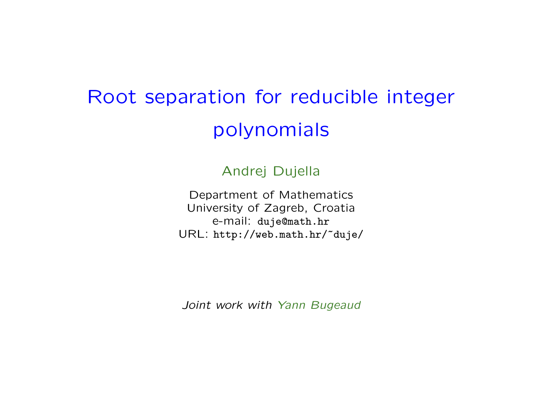# Root separation for reducible integer polynomials

Andrej Dujella

Department of Mathematics University of Zagreb, Croatia e-mail: duje@math.hr URL: http://web.math.hr/~duje/

*Joint work with Yann Bugeaud*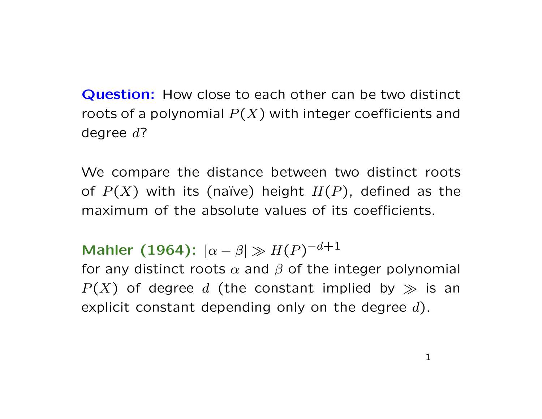**Question:** How close to each other can be two distinct roots of a polynomial *P*(*X*) with integer coefficients and degree *d*?

We compare the distance between two distinct roots of  $P(X)$  with its (naïve) height  $H(P)$ , defined as the maximum of the absolute values of its coefficients.

# **Mahler (1964):**  $|\alpha - \beta| \gg H(P)^{-d+1}$

for any distinct roots *α* and *β* of the integer polynomial  $P(X)$  of degree *d* (the constant implied by  $\gg$  is an explicit constant depending only on the degree *d*).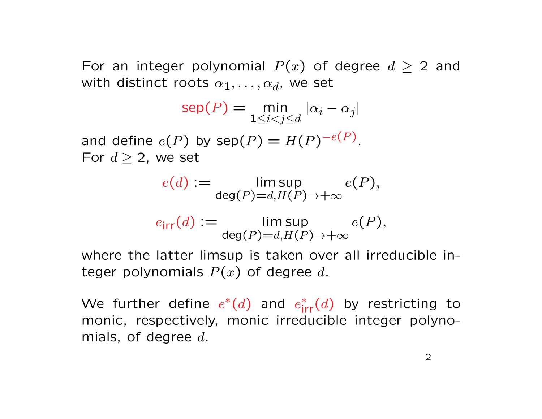For an integer polynomial  $P(x)$  of degree  $d \ge 2$  and with distinct roots  $\alpha_1, \ldots, \alpha_d$ , we set

$$
\operatorname{sep}(P) = \min_{1 \le i < j \le d} |\alpha_i - \alpha_j|
$$

and define  $e(P)$  by  $\textsf{sep}(P) = H(P)^{-e(P)}$ . For  $d \geq 2$ , we set

$$
e(d) := \limsup_{\deg(P)=d, H(P)\to +\infty} e(P),
$$

$$
e_{\text{irr}}(d) := \limsup_{\text{deg}(P)=d, H(P)\to +\infty} e(P),
$$

where the latter limsup is taken over all irreducible integer polynomials *P*(*x*) of degree *d*.

We further define  $e^*(d)$  and  $e^*_{\text{irr}}(d)$  by restricting to monic, respectively, monic irreducible integer polynomials, of degree *d*.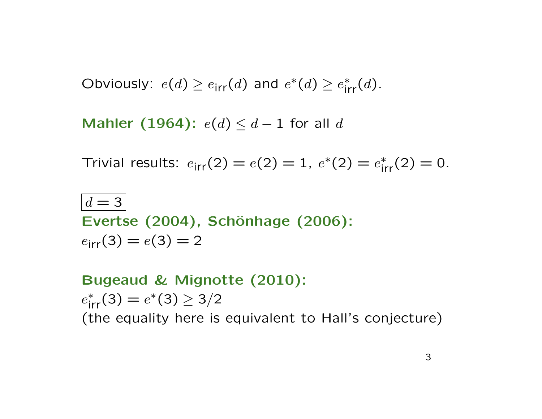Obviously:  $e(d) \geq e_{irr}(d)$  and  $e^*(d) \geq e_{irr}^*(d)$ .

**Mahler (1964):**  $e(d) \leq d - 1$  for all *d* 

Trivial results:  $e_{irr}(2) = e(2) = 1$ ,  $e^*(2) = e_{irr}^*(2) = 0$ .

 $d = 3$ Evertse (2004), Schönhage (2006):  $e_{irr}(3) = e(3) = 2$ 

**Bugeaud & Mignotte (2010):**

 $e_{\text{irr}}^*(3) = e^*(3) \geq 3/2$ (the equality here is equivalent to Hall's conjecture)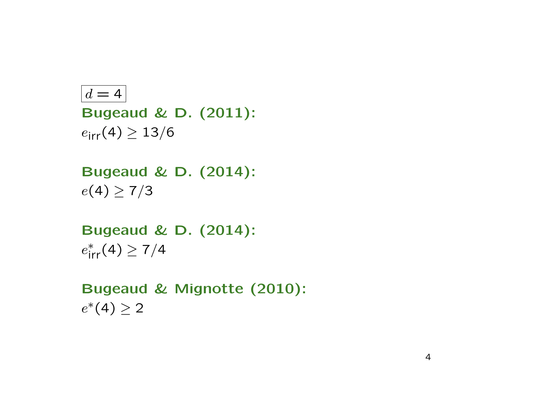$$
d=4
$$

**Bugeaud & D. (2011):**  $e_{irr}(4) \ge 13/6$ 

**Bugeaud & D. (2014):** *e*(4)  $≥ 7/3$ 

**Bugeaud & D. (2014):**  $e_{irr}^*(4) \geq 7/4$ 

**Bugeaud & Mignotte (2010):**  $e$ <sup>\*</sup>(4) ≥ 2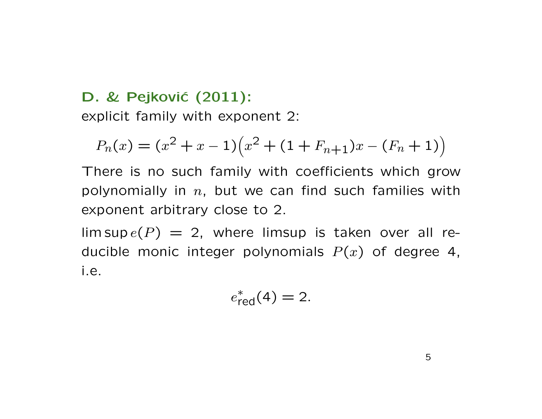### **D. & Pejković (2011):**

explicit family with exponent 2:

$$
P_n(x) = (x^2 + x - 1)(x^2 + (1 + F_{n+1})x - (F_n + 1))
$$

There is no such family with coefficients which grow polynomially in *n*, but we can find such families with exponent arbitrary close to 2.

 $\limsup e(P) = 2$ , where limsup is taken over all reducible monic integer polynomials *P*(*x*) of degree 4, i.e.

$$
e_{\text{red}}^*(4) = 2.
$$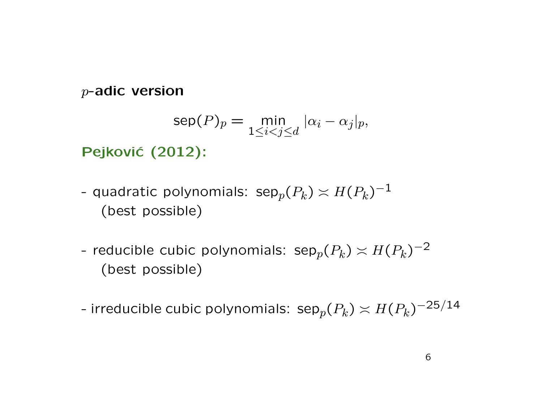*p***-adic version**

$$
\operatorname{sep}(P)_p = \min_{1 \le i < j \le d} |\alpha_i - \alpha_j|_p,
$$

**Pejković (2012):** 

- quadratic polynomials: sep*p*(*Pk*) *≍ H*(*Pk*) *−*1 (best possible)
- reducible cubic polynomials: sep*p*(*Pk*) *≍ H*(*Pk*) *−*2 (best possible)

- irreducible cubic polynomials: sep*p*(*Pk*) *≍ H*(*Pk*) *−*25*/*14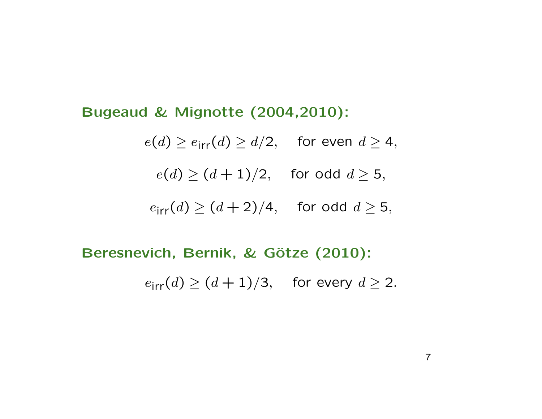#### **Bugeaud & Mignotte (2004,2010):**

- $e(d) \ge e_{irr}(d) \ge d/2$ , for even  $d \ge 4$ ,
	- $e(d) \geq (d+1)/2$ , for odd  $d \geq 5$ ,
- $e_{irr}(d) \ge (d+2)/4$ , for odd  $d \ge 5$ ,

#### Beresnevich, Bernik, & Götze (2010):

 $e_{irr}(d) \geq (d+1)/3$ , for every  $d \geq 2$ .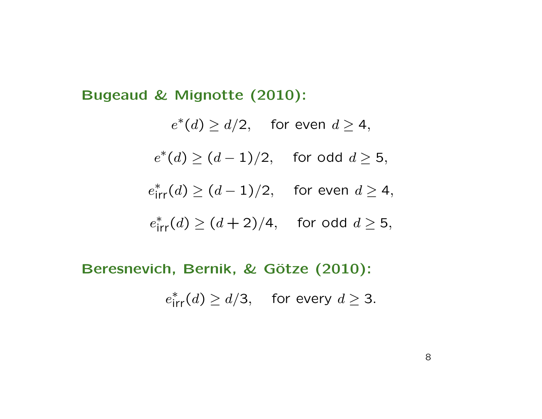**Bugeaud & Mignotte (2010):**

 $e^*(d)$  *≥ d/*2*,* for even *d ≥* 4*, e ∗* (*d*) *≥* (*d −* 1)*/*2*,* for odd *d ≥* 5*,*  $e^*_{\mathsf{irr}}(d)$  *≥*  $(d-1)/2$ , for even  $d$  *≥* 4*,*  $e^*_{\mathsf{irr}}(d) \geq (d+2)/4$ , for odd  $d \geq 5$ ,

Beresnevich, Bernik, & Götze (2010):

 $e^*_{\text{irr}}(d) \geq d/3$ , for every  $d \geq 3$ .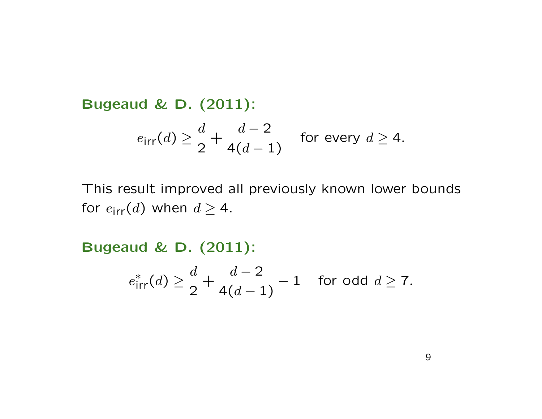**Bugeaud & D. (2011):**

$$
e_{\text{irr}}(d) \geq \frac{d}{2} + \frac{d-2}{4(d-1)} \quad \text{for every } d \geq 4.
$$

This result improved all previously known lower bounds for  $e_{irr}(d)$  when  $d \geq 4$ .

**Bugeaud & D. (2011):**

$$
e_{irr}^{*}(d) \ge \frac{d}{2} + \frac{d-2}{4(d-1)} - 1
$$
 for odd  $d \ge 7$ .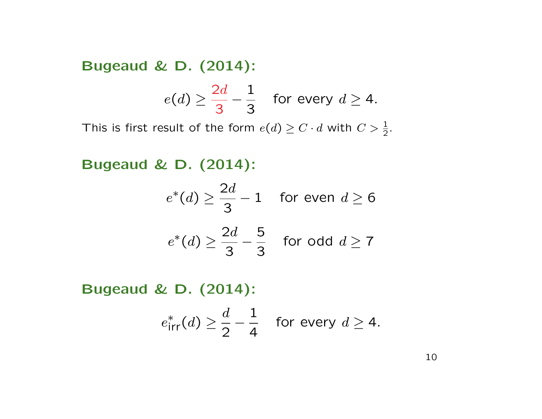## **Bugeaud & D. (2014):**

$$
e(d) \ge \frac{2d}{3} - \frac{1}{3} \quad \text{for every } d \ge 4.
$$

This is first result of the form  $e(d) \geq C \cdot d$  with  $C > \frac{1}{2}$ .

**Bugeaud & D. (2014):**

$$
e^*(d) \ge \frac{2d}{3} - 1 \quad \text{for even } d \ge 6
$$
  

$$
e^*(d) \ge \frac{2d}{3} - \frac{5}{3} \quad \text{for odd } d \ge 7
$$

**Bugeaud & D. (2014):**

$$
e^*_{\text{irr}}(d) \geq \frac{d}{2} - \frac{1}{4} \quad \text{for every } d \geq 4.
$$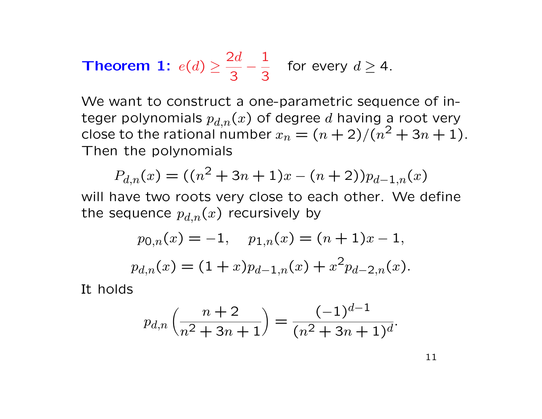**Theorem 1:** 
$$
e(d) \ge \frac{2d}{3} - \frac{1}{3}
$$
 for every  $d \ge 4$ .

We want to construct a one-parametric sequence of integer polynomials  $p_{d,n}(x)$  of degree  $d$  having a root very close to the rational number  $x_n = (n+2)/(n^2+3n+1)$ . Then the polynomials

$$
P_{d,n}(x) = ((n^2 + 3n + 1)x - (n + 2))p_{d-1,n}(x)
$$

will have two roots very close to each other. We define the sequence  $p_{d,n}(x)$  recursively by

$$
p_{0,n}(x) = -1, \quad p_{1,n}(x) = (n+1)x - 1,
$$
  

$$
p_{d,n}(x) = (1+x)p_{d-1,n}(x) + x^2 p_{d-2,n}(x).
$$

It holds

$$
p_{d,n}\left(\frac{n+2}{n^2+3n+1}\right) = \frac{(-1)^{d-1}}{(n^2+3n+1)^d}.
$$

11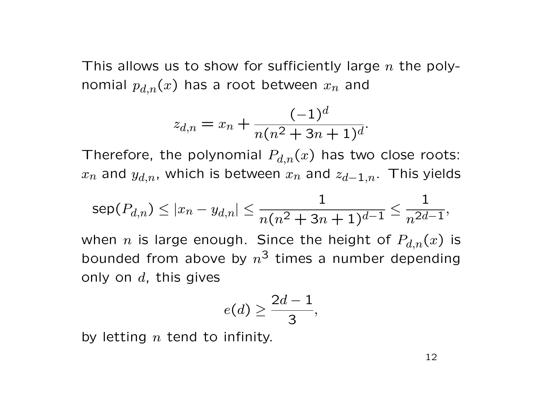This allows us to show for sufficiently large *n* the polynomial  $p_{d,n}(x)$  has a root between  $x_n$  and

$$
z_{d,n} = x_n + \frac{(-1)^d}{n(n^2 + 3n + 1)^d}.
$$

Therefore, the polynomial  $P_{d,n}(x)$  has two close roots: *x*<sup>n</sup> and  $y_{d,n}$ , which is between  $x_n$  and  $z_{d-1,n}$ . This yields

$$
\textsf{sep}(P_{d,n})\leq |x_n-y_{d,n}|\leq \frac{1}{n(n^2+3n+1)^{d-1}}\leq \frac{1}{n^{2d-1}},
$$

when *n* is large enough. Since the height of  $P_{d,n}(x)$  is bounded from above by  $n^3$  times a number depending only on *d*, this gives

$$
e(d)\geq \frac{2d-1}{3},
$$

by letting *n* tend to infinity.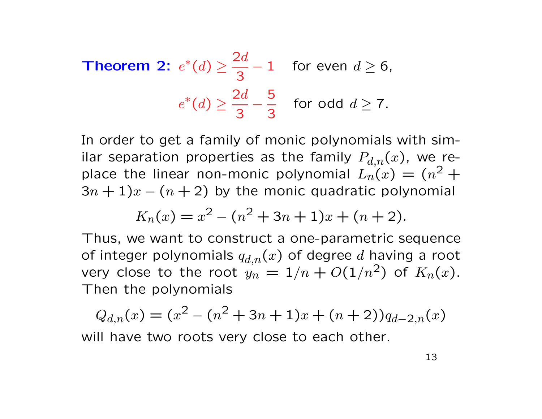**Theorem 2:** 
$$
e^*(d) \ge \frac{2d}{3} - 1
$$
 for even  $d \ge 6$ ,  
 $e^*(d) \ge \frac{2d}{3} - \frac{5}{3}$  for odd  $d \ge 7$ .

In order to get a family of monic polynomials with similar separation properties as the family  $P_{d,n}(x)$ , we replace the linear non-monic polynomial  $L_n(x) = (n^2 +$  $3n + 1)x - (n + 2)$  by the monic quadratic polynomial

$$
K_n(x) = x^2 - (n^2 + 3n + 1)x + (n + 2).
$$

Thus, we want to construct a one-parametric sequence of integer polynomials  $q_{d,n}(x)$  of degree *d* having a root very close to the root  $y_n = 1/n + O(1/n^2)$  of  $K_n(x)$ . Then the polynomials

$$
Q_{d,n}(x) = (x^2 - (n^2 + 3n + 1)x + (n+2))q_{d-2,n}(x)
$$

will have two roots very close to each other.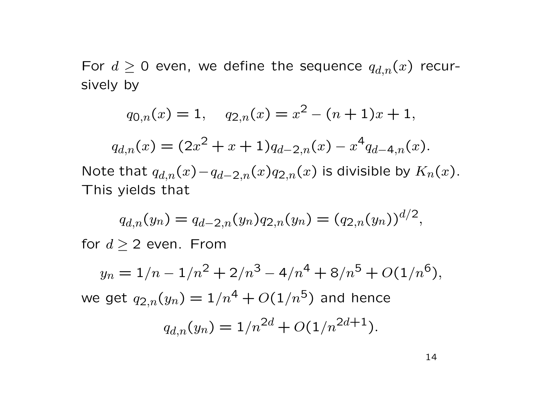For  $d \geq 0$  even, we define the sequence  $q_{d,n}(x)$  recursively by

$$
q_{0,n}(x) = 1, \quad q_{2,n}(x) = x^2 - (n+1)x + 1,
$$

$$
q_{d,n}(x) = (2x^2 + x + 1)q_{d-2,n}(x) - x^4 q_{d-4,n}(x).
$$

Note that  $q_{d,n}(x) - q_{d-2,n}(x)q_{2,n}(x)$  is divisible by  $K_n(x)$ . This yields that

$$
q_{d,n}(y_n) = q_{d-2,n}(y_n)q_{2,n}(y_n) = (q_{2,n}(y_n))^{d/2},
$$

for  $d \geq 2$  even. From

$$
y_n = 1/n - 1/n^2 + 2/n^3 - 4/n^4 + 8/n^5 + O(1/n^6),
$$

we get  $q_{2,n}(y_n) = 1/n^4 + O(1/n^5)$  and hence

$$
q_{d,n}(y_n) = 1/n^{2d} + O(1/n^{2d+1}).
$$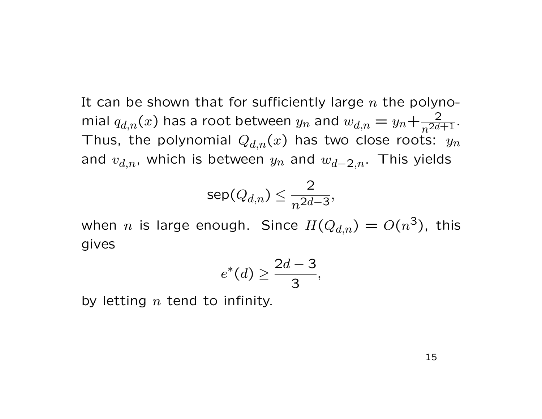It can be shown that for sufficiently large *n* the polynomial  $q_{d,n}(x)$  has a root between  $y_n$  and  $w_{d,n} = y_n + \frac{2}{n^{2d+1}}$ . Thus, the polynomial  $Q_{d,n}(x)$  has two close roots:  $y_n$ and *<sup>v</sup>d,n*, which is between *<sup>y</sup><sup>n</sup>* and *<sup>w</sup>d−*2*,n*. This yields

$$
\textsf{sep}(Q_{d,n})\leq \frac{2}{n^{2d-3}},
$$

when  $n$  is large enough. Since  $H(Q_{d,n}) = O(n^3)$ , this gives

$$
e^*(d) \ge \frac{2d-3}{3},
$$

by letting *n* tend to infinity.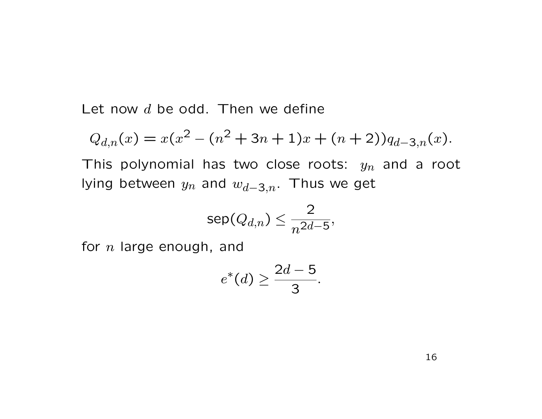Let now *d* be odd. Then we define

$$
Q_{d,n}(x) = x(x^2 - (n^2 + 3n + 1)x + (n+2))q_{d-3,n}(x).
$$

This polynomial has two close roots: *yn* and a root lying between *<sup>y</sup><sup>n</sup>* and *<sup>w</sup>d−*3*,n*. Thus we get

$$
\textsf{sep}(Q_{d,n})\leq \frac{2}{n^{2d-5}},
$$

for *n* large enough, and

$$
e^*(d) \ge \frac{2d-5}{3}.
$$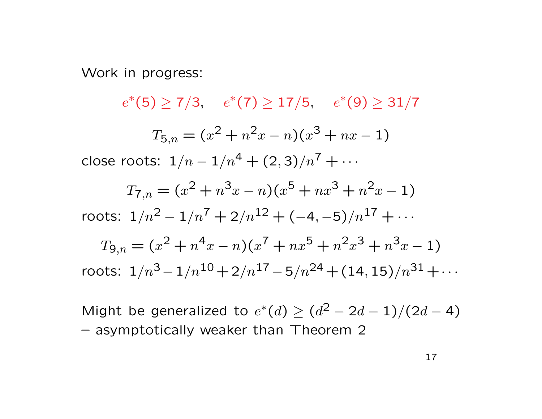Work in progress:

*e ∗* (5) *≥* 7*/*3*, e ∗* (7) *≥* 17*/*5*, e ∗* (9) *≥* 31*/*7  $T_{5,n} = (x^2 + n^2x - n)(x^3 + nx - 1)$ close roots:  $1/n - 1/n^4 + (2, 3)/n^7 + \cdots$  $T_{7,n} = (x^2 + n^3x - n)(x^5 + nx^3 + n^2x - 1)$ roots:  $1/n^2 - 1/n^7 + 2/n^{12} + (-4,-5)/n^{17} + \cdots$  $T_{9,n} = (x^2 + n^4x - n)(x^7 + nx^5 + n^2x^3 + n^3x - 1)$ roots:  $1/n^3 - 1/n^{10} + 2/n^{17} - 5/n^{24} + (14, 15)/n^{31} + \cdots$ 

Might be generalized to  $e^*(d) \geq (d^2 - 2d - 1)/(2d - 4)$ – asymptotically weaker than Theorem 2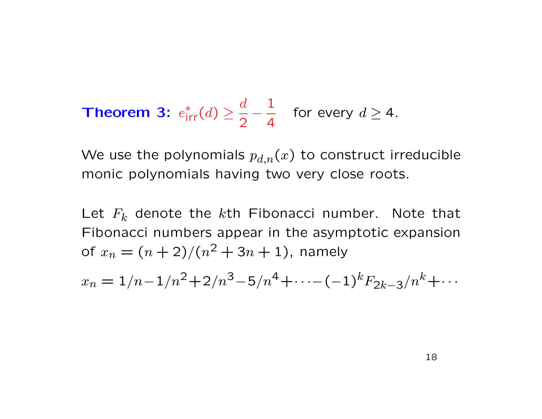**Theorem 3:** 
$$
e_{irr}^*(d) \ge \frac{d}{2} - \frac{1}{4}
$$
 for every  $d \ge 4$ .

We use the polynomials  $p_{d,n}(x)$  to construct irreducible monic polynomials having two very close roots.

Let *F<sup>k</sup>* denote the *k*th Fibonacci number. Note that Fibonacci numbers appear in the asymptotic expansion of  $x_n = (n+2)/(n^2+3n+1)$ , namely

 $x_n = 1/n - 1/n^2 + 2/n^3 - 5/n^4 + \cdots - (-1)^k F_{2k-3}/n^k + \cdots$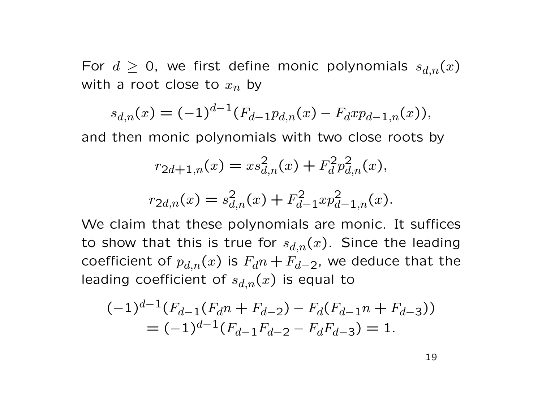For  $d \geq 0$ , we first define monic polynomials  $s_{d,n}(x)$ with a root close to *xn* by

$$
s_{d,n}(x) = (-1)^{d-1} (F_{d-1} p_{d,n}(x) - F_d x p_{d-1,n}(x)),
$$

and then monic polynomials with two close roots by

$$
r_{2d+1,n}(x) = xs_{d,n}^2(x) + F_d^2 p_{d,n}^2(x),
$$
  

$$
r_{2d,n}(x) = s_{d,n}^2(x) + F_{d-1}^2 x p_{d-1,n}^2(x).
$$

We claim that these polynomials are monic. It suffices to show that this is true for  $s_{d,n}(x)$ . Since the leading coefficient of  $p_{d,n}(x)$  is  $F_d n + F_{d-2}$ , we deduce that the leading coefficient of  $s_{d,n}(x)$  is equal to

$$
(-1)^{d-1}(F_{d-1}(F_{d}n + F_{d-2}) - F_d(F_{d-1}n + F_{d-3}))
$$
  
=  $(-1)^{d-1}(F_{d-1}F_{d-2} - F_dF_{d-3}) = 1.$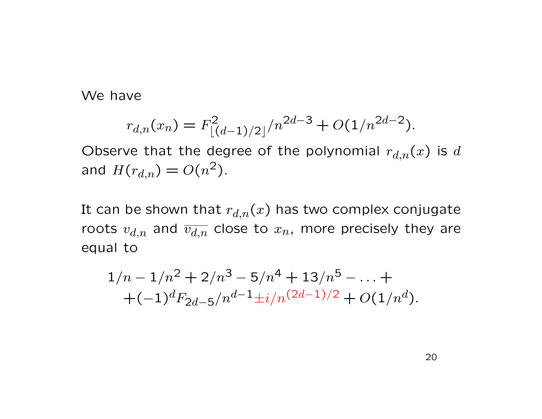We have

$$
r_{d,n}(x_n) = F^2_{\lfloor (d-1)/2 \rfloor}/n^{2d-3} + O(1/n^{2d-2}).
$$

Observe that the degree of the polynomial  $r_{d,n}(x)$  is  $d$ and  $H(r_{d,n}) = O(n^2)$ .

It can be shown that  $r_{d,n}(x)$  has two complex conjugate roots  $v_{d,n}$  and  $\overline{v_{d,n}}$  close to  $x_n$ , more precisely they are equal to

$$
1/n - 1/n2 + 2/n3 - 5/n4 + 13/n5 - ... +
$$
  
+  $(-1)dF2d-5/nd-1 \pm i/n(2d-1)/2 + O(1/nd).$